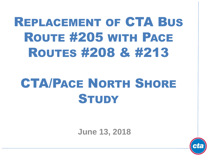# REPLACEMENT OF CTA BUS ROUTE #205 WITH PACE ROUTES #208 & #213

# CTA/PACE NORTH SHORE **STUDY**

**June 13, 2018**

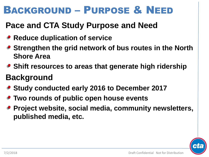## BACKGROUND – PURPOSE & NEED

### **Pace and CTA Study Purpose and Need**

- **Reduce duplication of service**
- **Strengthen the grid network of bus routes in the North Shore Area**
- **Shift resources to areas that generate high ridership**

### **Background**

- **Study conducted early 2016 to December 2017**
- **Two rounds of public open house events**
- **Project website, social media, community newsletters, published media, etc.**

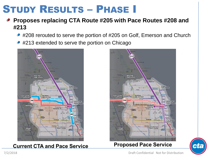## STUDY RESULTS – PHASE I

#### **Proposes replacing CTA Route #205 with Pace Routes #208 and #213**

- #208 rerouted to serve the portion of #205 on Golf, Emerson and Church
- #213 extended to serve the portion on Chicago



#### **Current CTA and Pace Service**



#### **Proposed Pace Service**



Draft Confidential Not for Distribution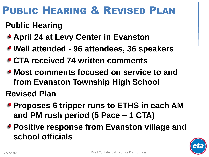# PUBLIC HEARING & REVISED PLAN

### **Public Hearing**

- **April 24 at Levy Center in Evanston**
- **Well attended - 96 attendees, 36 speakers**
- **CTA received 74 written comments**
- **Most comments focused on service to and from Evanston Township High School Revised Plan**
- **Proposes 6 tripper runs to ETHS in each AM and PM rush period (5 Pace – 1 CTA)**
- **Positive response from Evanston village and school officials**